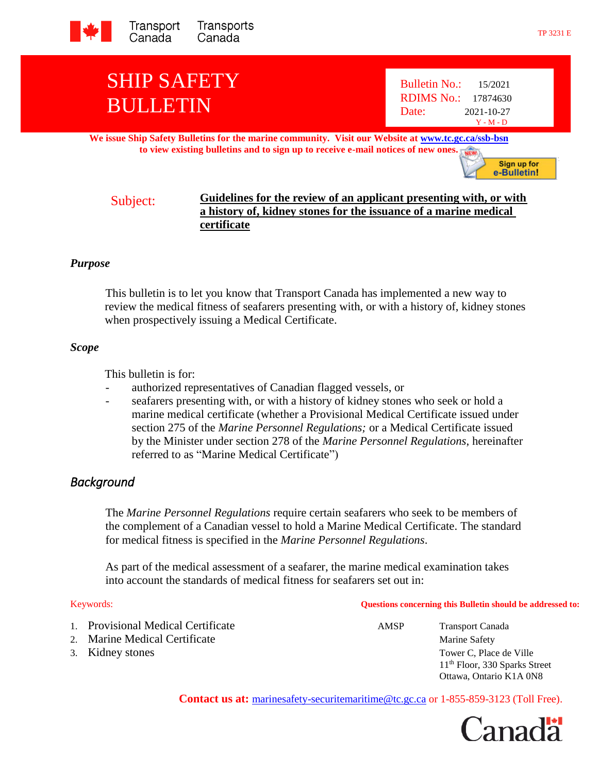

# SHIP SAFETY BULLETIN

**We issue Ship Safety Bulletins for the marine community. Visit our Website at [www.tc.gc.ca/ssb-bsn](http://www.tc.gc.ca/ssb-bsn) to view existing bulletins and to sign up to receive e-mail notices of new ones.**

Sign up for e-Bulletin!

# Subject: **Guidelines for the review of an applicant presenting with, or with a history of, kidney stones for the issuance of a marine medical certificate**

## *Purpose*

This bulletin is to let you know that Transport Canada has implemented a new way to review the medical fitness of seafarers presenting with, or with a history of, kidney stones when prospectively issuing a Medical Certificate.

#### *Scope*

This bulletin is for:

- authorized representatives of Canadian flagged vessels, or
- seafarers presenting with, or with a history of kidney stones who seek or hold a marine medical certificate (whether a Provisional Medical Certificate issued under section 275 of the *Marine Personnel Regulations;* or a Medical Certificate issued by the Minister under section 278 of the *Marine Personnel Regulations*, hereinafter referred to as "Marine Medical Certificate")

# *Background*

The *Marine Personnel Regulations* require certain seafarers who seek to be members of the complement of a Canadian vessel to hold a Marine Medical Certificate. The standard for medical fitness is specified in the *Marine Personnel Regulations*.

As part of the medical assessment of a seafarer, the marine medical examination takes into account the standards of medical fitness for seafarers set out in:

- 1. Provisional Medical Certificate **AMSP** Transport Canada
- 2. Marine Medical Certificate Marine Safety
- 

Keywords: **Questions concerning this Bulletin should be addressed to:**

3. Kidney stones Tower C, Place de Ville 11th Floor, 330 Sparks Street Ottawa, Ontario K1A 0N8

Contact us at: [marinesafety-securitemaritime@tc.gc.ca](http://www.tc.gc.ca/marinesafety) or 1-855-859-3123 (Toll Free).

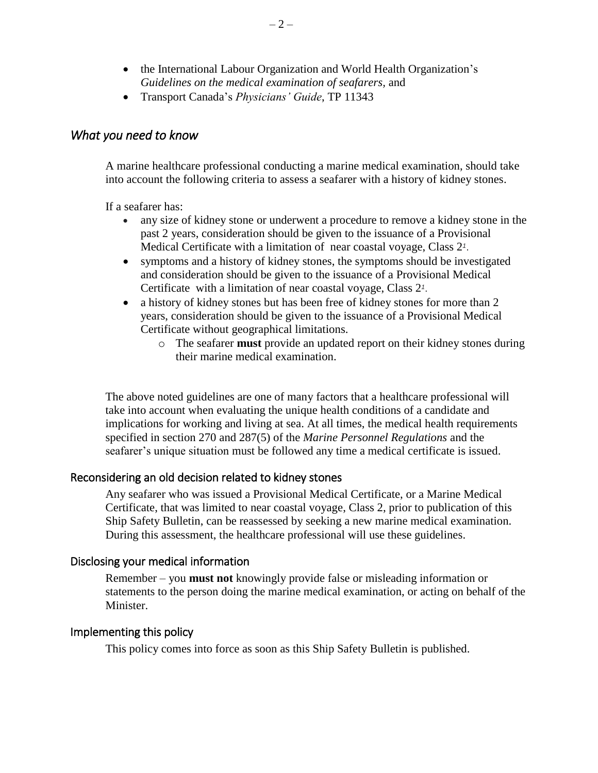- the International Labour Organization and World Health Organization's *Guidelines on the medical examination of seafarers,* and
- Transport Canada's *Physicians' Guide*, TP 11343

# *What you need to know*

A marine healthcare professional conducting a marine medical examination, should take into account the following criteria to assess a seafarer with a history of kidney stones.

If a seafarer has:

- any size of kidney stone or underwent a procedure to remove a kidney stone in the past 2 years, consideration should be given to the issuance of a Provisional Medical Certificate with a limitation of near coastal voyage, Class 2*<sup>1</sup>* .
- symptoms and a history of kidney stones, the symptoms should be investigated and consideration should be given to the issuance of a Provisional Medical Certificate with a limitation of near coastal voyage, Class 2*<sup>1</sup>* .
- a history of kidney stones but has been free of kidney stones for more than 2 years, consideration should be given to the issuance of a Provisional Medical Certificate without geographical limitations.
	- o The seafarer **must** provide an updated report on their kidney stones during their marine medical examination.

The above noted guidelines are one of many factors that a healthcare professional will take into account when evaluating the unique health conditions of a candidate and implications for working and living at sea. At all times, the medical health requirements specified in section 270 and 287(5) of the *Marine Personnel Regulations* and the seafarer's unique situation must be followed any time a medical certificate is issued.

# Reconsidering an old decision related to kidney stones

Any seafarer who was issued a Provisional Medical Certificate, or a Marine Medical Certificate, that was limited to near coastal voyage, Class 2, prior to publication of this Ship Safety Bulletin, can be reassessed by seeking a new marine medical examination. During this assessment, the healthcare professional will use these guidelines.

### Disclosing your medical information

Remember – you **must not** knowingly provide false or misleading information or statements to the person doing the marine medical examination, or acting on behalf of the Minister.

### Implementing this policy

This policy comes into force as soon as this Ship Safety Bulletin is published.